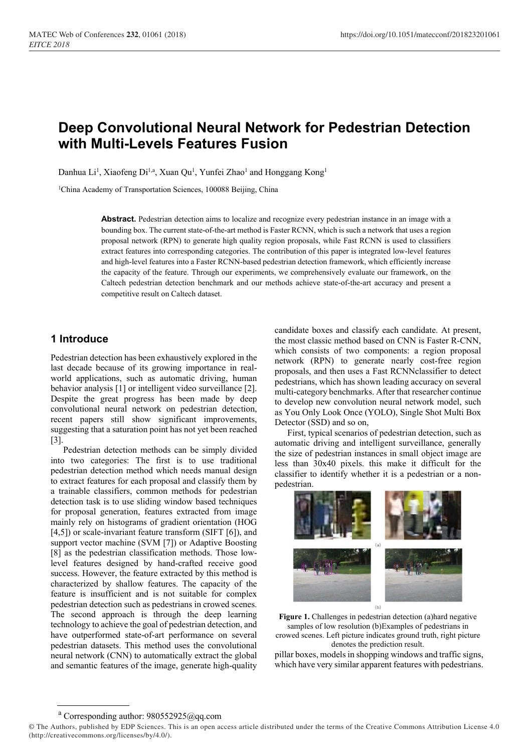# **Deep Convolutional Neural Network for Pedestrian Detection with Multi-Levels Features Fusion**

Danhua Li<sup>1</sup>, Xiaofeng Di<sup>1,a</sup>, Xuan Qu<sup>1</sup>, Yunfei Zhao<sup>1</sup> and Honggang Kong<sup>1</sup>

<sup>1</sup>China Academy of Transportation Sciences, 100088 Beijing, China

**Abstract.** Pedestrian detection aims to localize and recognize every pedestrian instance in an image with a bounding box. The current state-of-the-art method is Faster RCNN, which is such a network that uses a region proposal network (RPN) to generate high quality region proposals, while Fast RCNN is used to classifiers extract features into corresponding categories. The contribution of this paper is integrated low-level features and high-level features into a Faster RCNN-based pedestrian detection framework, which efficiently increase the capacity of the feature. Through our experiments, we comprehensively evaluate our framework, on the Caltech pedestrian detection benchmark and our methods achieve state-of-the-art accuracy and present a competitive result on Caltech dataset.

# **1 Introduce**

Pedestrian detection has been exhaustively explored in the last decade because of its growing importance in realworld applications, such as automatic driving, human behavior analysis [1] or intelligent video surveillance [2]. Despite the great progress has been made by deep convolutional neural network on pedestrian detection, recent papers still show significant improvements, suggesting that a saturation point has not yet been reached [3].

Pedestrian detection methods can be simply divided into two categories: The first is to use traditional pedestrian detection method which needs manual design to extract features for each proposal and classify them by a trainable classifiers, common methods for pedestrian detection task is to use sliding window based techniques for proposal generation, features extracted from image mainly rely on histograms of gradient orientation (HOG [4,5]) or scale-invariant feature transform (SIFT [6]), and support vector machine (SVM [7]) or Adaptive Boosting [8] as the pedestrian classification methods. Those lowlevel features designed by hand-crafted receive good success. However, the feature extracted by this method is characterized by shallow features. The capacity of the feature is insufficient and is not suitable for complex pedestrian detection such as pedestrians in crowed scenes. The second approach is through the deep learning technology to achieve the goal of pedestrian detection, and have outperformed state-of-art performance on several pedestrian datasets. This method uses the convolutional neural network (CNN) to automatically extract the global and semantic features of the image, generate high-quality

candidate boxes and classify each candidate. At present, the most classic method based on CNN is Faster R-CNN, which consists of two components: a region proposal network (RPN) to generate nearly cost-free region proposals, and then uses a Fast RCNNclassifier to detect pedestrians, which has shown leading accuracy on several multi-category benchmarks. After that researcher continue to develop new convolution neural network model, such as You Only Look Once (YOLO), Single Shot Multi Box Detector (SSD) and so on,

First, typical scenarios of pedestrian detection, such as automatic driving and intelligent surveillance, generally the size of pedestrian instances in small object image are less than 30x40 pixels. this make it difficult for the classifier to identify whether it is a pedestrian or a nonpedestrian.



**Figure 1.** Challenges in pedestrian detection (a)hard negative samples of low resolution (b)Examples of pedestrians in crowed scenes. Left picture indicates ground truth, right picture denotes the prediction result.

pillar boxes, models in shopping windows and traffic signs, which have very similar apparent features with pedestrians.

<sup>©</sup> The Authors, published by EDP Sciences. This is an open access article distributed under the terms of the Creative Commons Attribution License 4.0 (http://creativecommons.org/licenses/by/4.0/).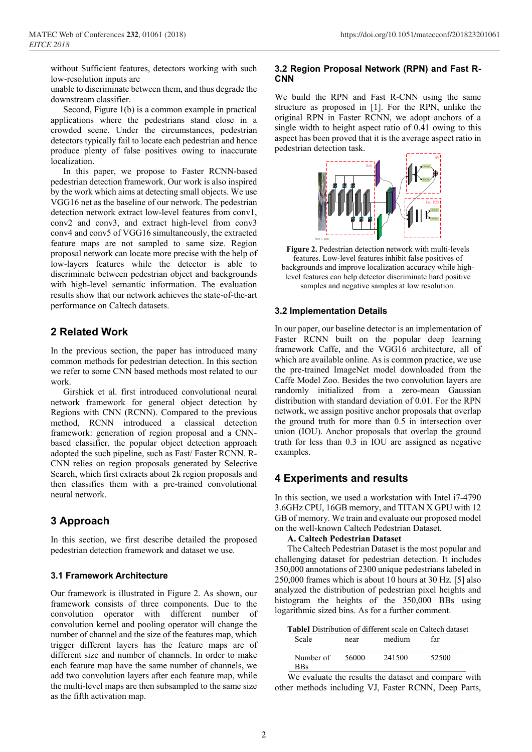without Sufficient features, detectors working with such low-resolution inputs are

unable to discriminate between them, and thus degrade the downstream classifier.

Second, Figure 1(b) is a common example in practical applications where the pedestrians stand close in a crowded scene. Under the circumstances, pedestrian detectors typically fail to locate each pedestrian and hence produce plenty of false positives owing to inaccurate localization.

In this paper, we propose to Faster RCNN-based pedestrian detection framework. Our work is also inspired by the work which aims at detecting small objects. We use VGG16 net as the baseline of our network. The pedestrian detection network extract low-level features from conv1, conv2 and conv3, and extract high-level from conv3 conv4 and conv5 of VGG16 simultaneously, the extracted feature maps are not sampled to same size. Region proposal network can locate more precise with the help of low-layers features while the detector is able to discriminate between pedestrian object and backgrounds with high-level semantic information. The evaluation results show that our network achieves the state-of-the-art performance on Caltech datasets.

# **2 Related Work**

In the previous section, the paper has introduced many common methods for pedestrian detection. In this section we refer to some CNN based methods most related to our work.

Girshick et al. first introduced convolutional neural network framework for general object detection by Regions with CNN (RCNN). Compared to the previous method, RCNN introduced a classical detection framework: generation of region proposal and a CNNbased classifier, the popular object detection approach adopted the such pipeline, such as Fast/ Faster RCNN. R-CNN relies on region proposals generated by Selective Search, which first extracts about 2k region proposals and then classifies them with a pre-trained convolutional neural network.

# **3 Approach**

In this section, we first describe detailed the proposed pedestrian detection framework and dataset we use.

#### **3.1 Framework Architecture**

Our framework is illustrated in Figure 2. As shown, our framework consists of three components. Due to the convolution operator with different number of convolution kernel and pooling operator will change the number of channel and the size of the features map, which trigger different layers has the feature maps are of different size and number of channels. In order to make each feature map have the same number of channels, we add two convolution layers after each feature map, while the multi-level maps are then subsampled to the same size as the fifth activation map.

#### **3.2 Region Proposal Network (RPN) and Fast R-CNN**

We build the RPN and Fast R-CNN using the same structure as proposed in [1]. For the RPN, unlike the original RPN in Faster RCNN, we adopt anchors of a single width to height aspect ratio of 0.41 owing to this aspect has been proved that it is the average aspect ratio in pedestrian detection task.



**Figure 2.** Pedestrian detection network with multi-levels features. Low-level features inhibit false positives of backgrounds and improve localization accuracy while highlevel features can help detector discriminate hard positive samples and negative samples at low resolution.

#### **3.2 Implementation Details**

In our paper, our baseline detector is an implementation of Faster RCNN built on the popular deep learning framework Caffe, and the VGG16 architecture, all of which are available online. As is common practice, we use the pre-trained ImageNet model downloaded from the Caffe Model Zoo. Besides the two convolution layers are randomly initialized from a zero-mean Gaussian distribution with standard deviation of 0.01. For the RPN network, we assign positive anchor proposals that overlap the ground truth for more than 0.5 in intersection over union (IOU). Anchor proposals that overlap the ground truth for less than 0.3 in IOU are assigned as negative examples.

## **4 Experiments and results**

In this section, we used a workstation with Intel i7-4790 3.6GHz CPU, 16GB memory, and TITAN X GPU with 12 GB of memory. We train and evaluate our proposed model on the well-known Caltech Pedestrian Dataset.

#### **A. Caltech Pedestrian Dataset**

The Caltech Pedestrian Dataset is the most popular and challenging dataset for pedestrian detection. It includes 350,000 annotations of 2300 unique pedestrians labeled in 250,000 frames which is about 10 hours at 30 Hz. [5] also analyzed the distribution of pedestrian pixel heights and histogram the heights of the 350,000 BBs using logarithmic sized bins. As for a further comment.

|       |      | <b>TableI</b> Distribution of different scale on Caltech dataset |     |  |
|-------|------|------------------------------------------------------------------|-----|--|
| Scale | near | medium                                                           | far |  |
|       |      |                                                                  |     |  |

| Number of                                        | 56000 | 241500 | 52500 |  |  |  |
|--------------------------------------------------|-------|--------|-------|--|--|--|
|                                                  |       |        |       |  |  |  |
| We evaluate the results the detect and compare w |       |        |       |  |  |  |

We evaluate the results the dataset and compare with other methods including VJ, Faster RCNN, Deep Parts,